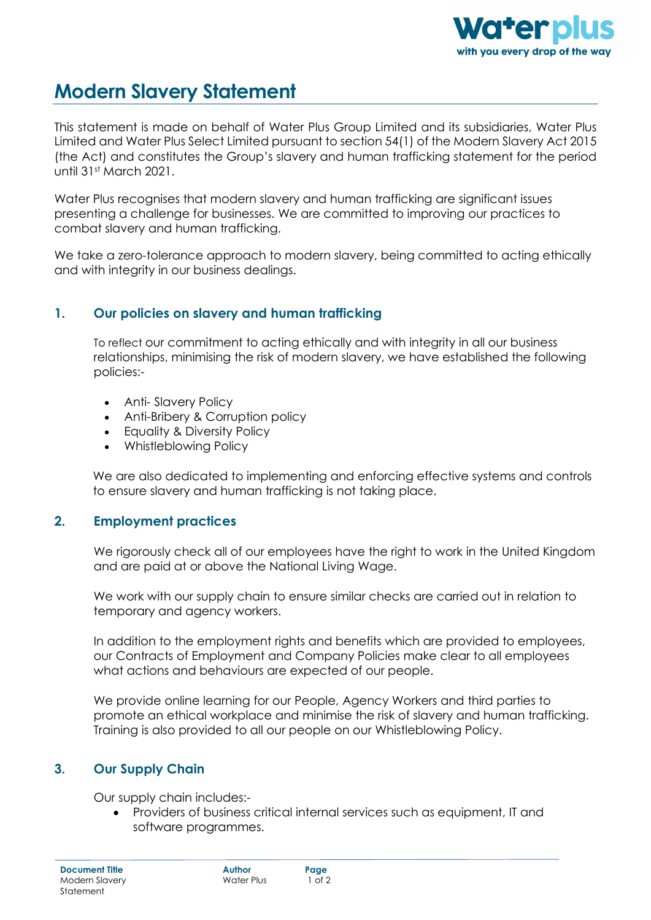

# **Modern Slavery Statement**

This statement is made on behalf of Water Plus Group Limited and its subsidiaries, Water Plus Limited and Water Plus Select Limited pursuant to section 54(1) of the Modern Slavery Act 2015 (the Act) and constitutes the Group's slavery and human trafficking statement for the period until 31st March 2021.

Water Plus recognises that modern slavery and human trafficking are significant issues presenting a challenge for businesses. We are committed to improving our practices to combat slavery and human trafficking.

We take a zero-tolerance approach to modern slavery, being committed to acting ethically and with integrity in our business dealings.

## **1. Our policies on slavery and human trafficking**

To reflect our commitment to acting ethically and with integrity in all our business relationships, minimising the risk of modern slavery, we have established the following policies:-

- Anti- Slavery Policy
- Anti-Bribery & Corruption policy
- Equality & Diversity Policy
- Whistleblowing Policy

We are also dedicated to implementing and enforcing effective systems and controls to ensure slavery and human trafficking is not taking place.

#### **2. Employment practices**

We rigorously check all of our employees have the right to work in the United Kingdom and are paid at or above the National Living Wage.

We work with our supply chain to ensure similar checks are carried out in relation to temporary and agency workers.

In addition to the employment rights and benefits which are provided to employees, our Contracts of Employment and Company Policies make clear to all employees what actions and behaviours are expected of our people.

We provide online learning for our People, Agency Workers and third parties to promote an ethical workplace and minimise the risk of slavery and human trafficking. Training is also provided to all our people on our Whistleblowing Policy.

## **3. Our Supply Chain**

Our supply chain includes:-

• Providers of business critical internal services such as equipment, IT and software programmes.